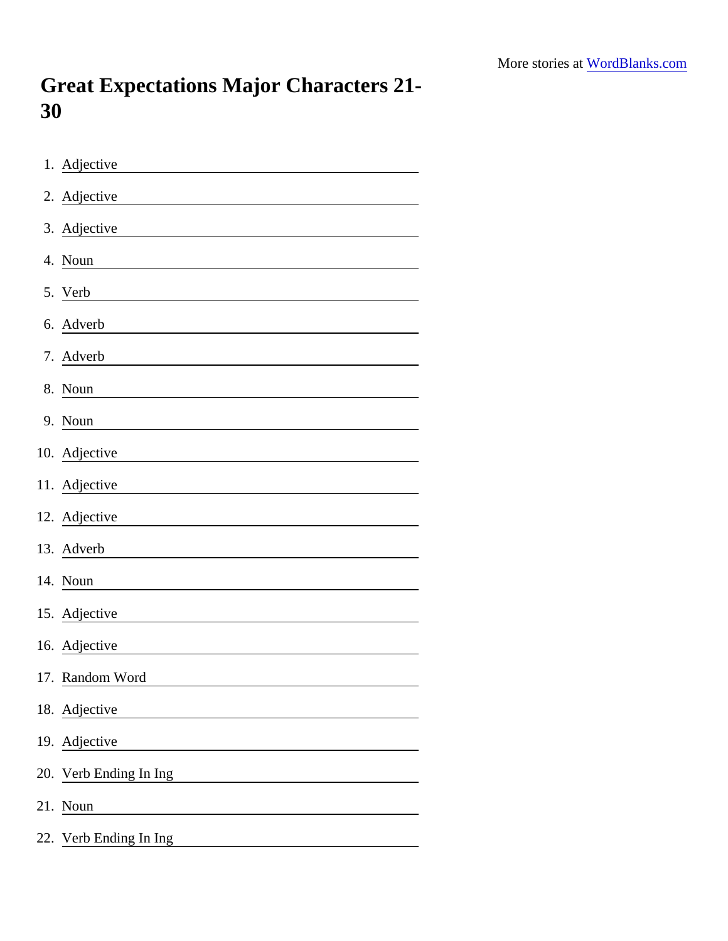## Great Expectations Major Characters 21- 30

| 1. Adjective           |
|------------------------|
| 2. Adjective           |
| 3. Adjective           |
| 4. Noun                |
| 5. Verb                |
| 6. Adverb              |
| 7. Adverb              |
| 8. Noun                |
| 9. Noun                |
| 10. Adjective          |
| 11. Adjective          |
| 12. Adjective          |
| 13. Adverb             |
| 14. Noun               |
| 15. Adjective          |
| 16. Adjective          |
| 17. Random Word        |
| 18. Adjective          |
| 19. Adjective          |
| 20. Verb Ending In Ing |
| 21. Noun               |
| 22. Verb Ending In Ing |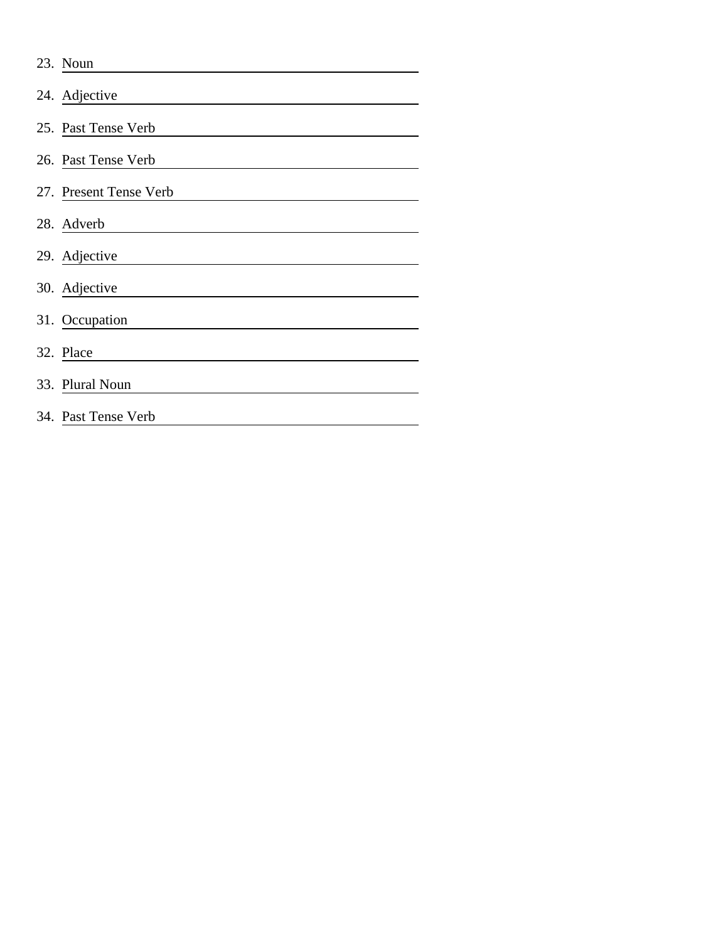| 23. Noun               |
|------------------------|
| 24. Adjective          |
| 25. Past Tense Verb    |
| 26. Past Tense Verb    |
| 27. Present Tense Verb |
| 28. Adverb             |
| 29. Adjective          |
| 30. Adjective          |
| 31. Occupation         |
| 32. Place              |
| 33. Plural Noun        |
| 34. Past Tense Verb    |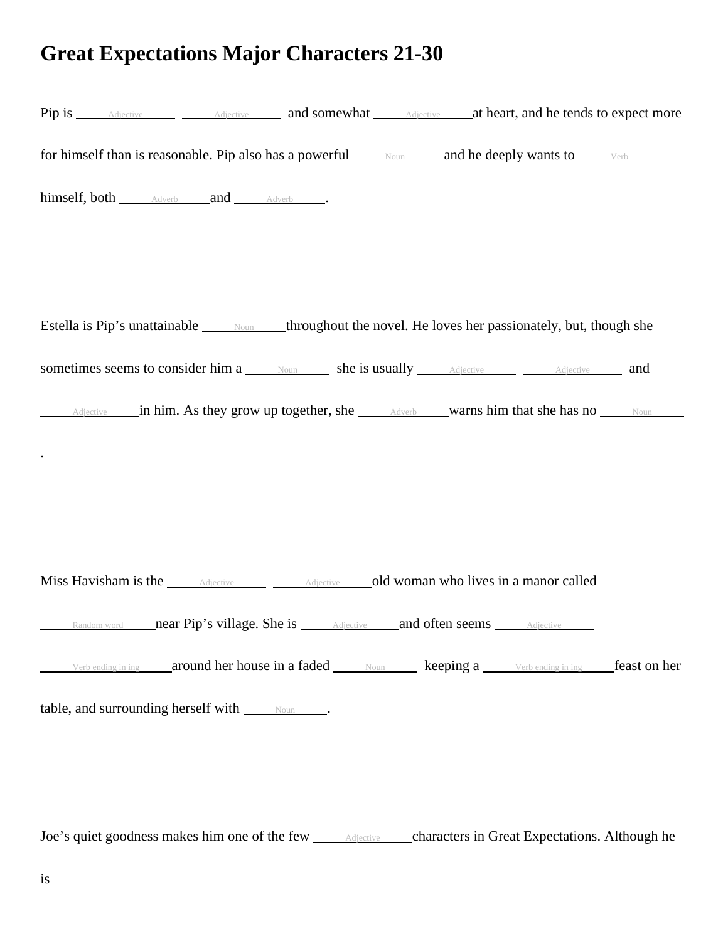## **Great Expectations Major Characters 21-30**

| Pip is <u>Adjective Adjective</u> and somewhat Adjective at heart, and he tends to expect more                                                     |  |  |  |
|----------------------------------------------------------------------------------------------------------------------------------------------------|--|--|--|
| for himself than is reasonable. Pip also has a powerful $\frac{\text{Noun}}{\text{Noun}}$ and he deeply wants to $\frac{\text{Verb}}{\text{Norb}}$ |  |  |  |
| himself, both Adverb and Adverb .                                                                                                                  |  |  |  |
|                                                                                                                                                    |  |  |  |
|                                                                                                                                                    |  |  |  |
| Estella is Pip's unattainable some throughout the novel. He loves her passionately, but, though she                                                |  |  |  |
| sometimes seems to consider him a Noun She is usually Adjective Adjective and                                                                      |  |  |  |
|                                                                                                                                                    |  |  |  |
|                                                                                                                                                    |  |  |  |
|                                                                                                                                                    |  |  |  |
|                                                                                                                                                    |  |  |  |
| Miss Havisham is the <u>Adjective Adjective</u> Adjective old woman who lives in a manor called                                                    |  |  |  |
|                                                                                                                                                    |  |  |  |
| Verbending in ing a cound her house in a faded Noun keeping a Verbending in ing feast on her                                                       |  |  |  |
| table, and surrounding herself with <u>soun</u> .                                                                                                  |  |  |  |
|                                                                                                                                                    |  |  |  |
|                                                                                                                                                    |  |  |  |

Joe's quiet goodness makes him one of the few Adjective characters in Great Expectations. Although he